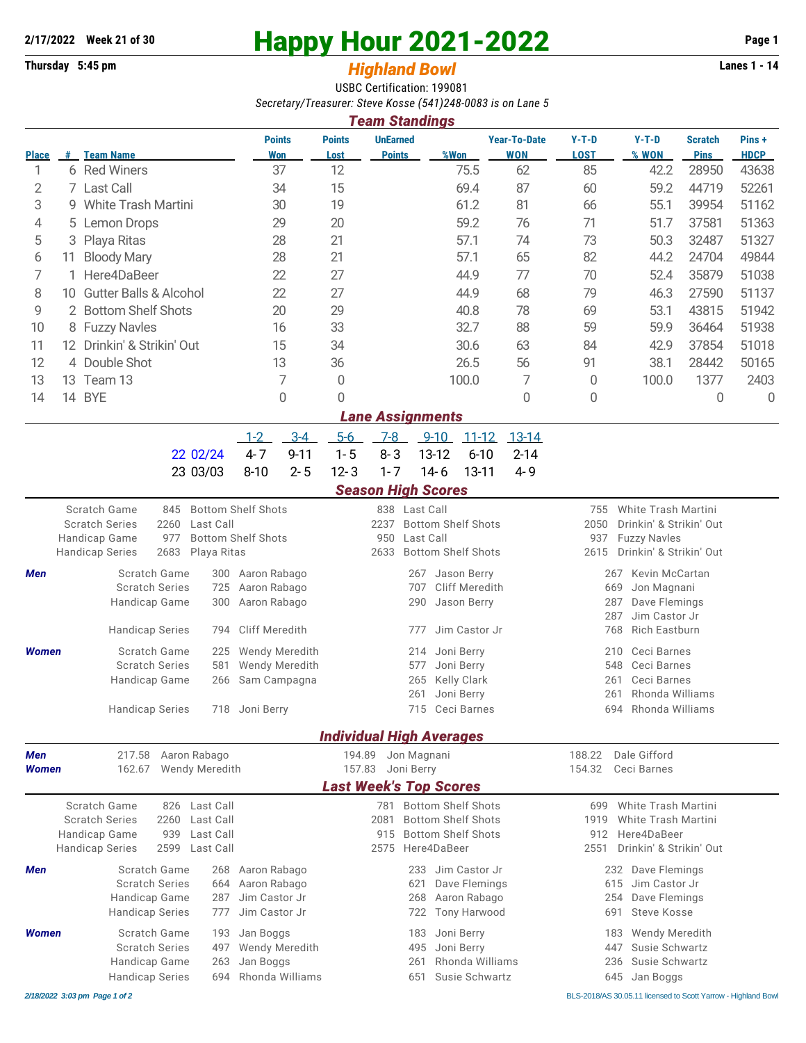## **2/17/2022** Week 21 of 30<br> **Happy Hour 2021-2022** Page 1<br> **Page 1**<br> **Page 1**<br> **Page 1**<br> **Page 1**<br> **Page 1**<br> **Page 1**<br> **Page 1**

## **Thursday 5:45 pm** *Highland Bowl*

USBC Certification: 199081 *Secretary/Treasurer: Steve Kosse (541)248-0083 is on Lane 5*

| <b>Team Standings</b> |     |                                   |                      |                       |                                  |       |                                   |                        |                  |                               |                      |
|-----------------------|-----|-----------------------------------|----------------------|-----------------------|----------------------------------|-------|-----------------------------------|------------------------|------------------|-------------------------------|----------------------|
| <b>Place</b>          | #   | <b>Team Name</b>                  | <b>Points</b><br>Won | <b>Points</b><br>Lost | <b>UnEarned</b><br><b>Points</b> | %Won  | <b>Year-To-Date</b><br><b>WON</b> | $Y-T-D$<br><b>LOST</b> | $Y-T-D$<br>% WON | <b>Scratch</b><br><b>Pins</b> | Pins+<br><b>HDCP</b> |
|                       | 6.  | <b>Red Winers</b>                 | 37                   | 12                    |                                  | 75.5  | 62                                | 85                     | 42.2             | 28950                         | 43638                |
| 2                     |     | 7 Last Call                       | 34                   | 15                    |                                  | 69.4  | 87                                | 60                     | 59.2             | 44719                         | 52261                |
| 3                     |     | 9 White Trash Martini             | 30                   | 19                    |                                  | 61.2  | 81                                | 66                     | 55.1             | 39954                         | 51162                |
| 4                     |     | 5 Lemon Drops                     | 29                   | 20                    |                                  | 59.2  | 76                                | 71                     | 51.7             | 37581                         | 51363                |
| 5                     |     | 3 Playa Ritas                     | 28                   | 21                    |                                  | 57.1  | 74                                | 73                     | 50.3             | 32487                         | 51327                |
| 6                     | 11. | <b>Bloody Mary</b>                | 28                   | 21                    |                                  | 57.1  | 65                                | 82                     | 44.2             | 24704                         | 49844                |
|                       |     | Here4DaBeer                       | 22                   | 27                    |                                  | 44.9  | 77                                | 70                     | 52.4             | 35879                         | 51038                |
| 8                     | 10. | <b>Gutter Balls &amp; Alcohol</b> | 22                   | 27                    |                                  | 44.9  | 68                                | 79                     | 46.3             | 27590                         | 51137                |
| 9                     |     | 2 Bottom Shelf Shots              | 20                   | 29                    |                                  | 40.8  | 78                                | 69                     | 53.1             | 43815                         | 51942                |
| 10                    |     | 8 Fuzzy Navles                    | 16                   | 33                    |                                  | 32.7  | 88                                | 59                     | 59.9             | 36464                         | 51938                |
| 11                    | 12. | Drinkin' & Strikin' Out           | 15                   | 34                    |                                  | 30.6  | 63                                | 84                     | 42.9             | 37854                         | 51018                |
| 12                    |     | 4 Double Shot                     | 13                   | 36                    |                                  | 26.5  | 56                                | 91                     | 38.1             | 28442                         | 50165                |
| 13                    | 13. | Team 13                           | 7                    | $\Omega$              |                                  | 100.0 | 7                                 | 0                      | 100.0            | 1377                          | 2403                 |
| 14                    | 14  | <b>BYE</b>                        | 0                    | 0                     |                                  |       | 0                                 | 0                      |                  | $\Omega$                      | 0                    |
|                       |     |                                   |                      |                       | <b>Lane Assignments</b>          |       |                                   |                        |                  |                               |                      |

|                                             |  |  | 1-2 3-4 5-6 7-8 9-10 11-12 13-14 |  |
|---------------------------------------------|--|--|----------------------------------|--|
| $22.02/24$ 4-7 9-11 1-5 8-3 13-12 6-10 2-14 |  |  |                                  |  |
| 23 03/03 8-10 2-5 12-3 1-7 14-6 13-11 4-9   |  |  |                                  |  |

## *Season High Scores*

|                                         |                                                                                  |                                                  |                                                                                  | stavon man svorto                                 |                                 |                                                                                                    |                            |                                                                                                                                   |  |
|-----------------------------------------|----------------------------------------------------------------------------------|--------------------------------------------------|----------------------------------------------------------------------------------|---------------------------------------------------|---------------------------------|----------------------------------------------------------------------------------------------------|----------------------------|-----------------------------------------------------------------------------------------------------------------------------------|--|
| Handicap Game<br><b>Handicap Series</b> | Scratch Game<br>845<br><b>Scratch Series</b><br>2260<br>977<br>2683              | Last Call<br>Playa Ritas                         | <b>Bottom Shelf Shots</b><br><b>Bottom Shelf Shots</b>                           | 2237<br>950<br>2633                               | 838 Last Call<br>Last Call      | <b>Bottom Shelf Shots</b><br><b>Bottom Shelf Shots</b>                                             | 755<br>2050<br>937<br>2615 | White Trash Martini<br>Drinkin' & Strikin' Out<br><b>Fuzzy Navles</b><br>Drinkin' & Strikin' Out                                  |  |
| <b>Men</b>                              | Scratch Game<br><b>Scratch Series</b><br>Handicap Game<br><b>Handicap Series</b> | 300<br>725<br>300<br>794                         | Aaron Rabago<br>Aaron Rabago<br>Aaron Rabago<br><b>Cliff Meredith</b>            |                                                   | 267<br>707<br>290<br>777        | Jason Berry<br>Cliff Meredith<br>Jason Berry<br>Jim Castor Jr                                      |                            | <b>Kevin McCartan</b><br>267<br>669<br>Jon Magnani<br>Dave Flemings<br>287<br>Jim Castor Jr<br>287<br><b>Rich Eastburn</b><br>768 |  |
| Women                                   | Scratch Game<br><b>Scratch Series</b><br>Handicap Game<br><b>Handicap Series</b> | 225<br>581<br>266                                | <b>Wendy Meredith</b><br><b>Wendy Meredith</b><br>Sam Campagna<br>718 Joni Berry |                                                   | 214<br>577<br>265<br>261<br>715 | Joni Berry<br>Joni Berry<br><b>Kelly Clark</b><br>Joni Berry<br>Ceci Barnes                        |                            | Ceci Barnes<br>210<br>Ceci Barnes<br>548<br>Ceci Barnes<br>261<br>Rhonda Williams<br>261<br>Rhonda Williams<br>694                |  |
|                                         |                                                                                  |                                                  |                                                                                  | <b>Individual High Averages</b>                   |                                 |                                                                                                    |                            |                                                                                                                                   |  |
| <b>Men</b><br><b>Women</b>              | 217.58<br>162.67                                                                 | Aaron Rabago<br>Wendy Meredith                   |                                                                                  | 194.89<br>157.83<br><b>Last Week's Top Scores</b> | Jon Magnani<br>Joni Berry       |                                                                                                    | 188.22<br>154.32           | Dale Gifford<br>Ceci Barnes                                                                                                       |  |
| Handicap Game<br><b>Handicap Series</b> | Scratch Game<br>826<br><b>Scratch Series</b><br>2260<br>939<br>2599              | Last Call<br>Last Call<br>Last Call<br>Last Call |                                                                                  | 781<br>2081<br>915<br>2575                        |                                 | <b>Bottom Shelf Shots</b><br><b>Bottom Shelf Shots</b><br><b>Bottom Shelf Shots</b><br>Here4DaBeer | 699<br>1919<br>912<br>2551 | White Trash Martini<br>White Trash Martini<br>Here4DaBeer<br>Drinkin' & Strikin' Out                                              |  |
| Men                                     | Scratch Game<br><b>Scratch Series</b><br>Handicap Game<br><b>Handicap Series</b> | 268<br>664<br>287<br>777                         | Aaron Rabago<br>Aaron Rabago<br>Jim Castor Jr<br>Jim Castor Jr                   |                                                   | 233<br>621<br>268<br>722        | Jim Castor Jr<br>Dave Flemings<br>Aaron Rabago<br><b>Tony Harwood</b>                              |                            | Dave Flemings<br>232<br>Jim Castor Jr<br>615<br>Dave Flemings<br>254<br>Steve Kosse<br>691                                        |  |
| <b>Women</b>                            | Scratch Game<br><b>Scratch Series</b><br>Handicap Game<br><b>Handicap Series</b> | 193<br>497<br>263                                | Jan Boggs<br>Wendy Meredith<br>Jan Boggs<br>694 Rhonda Williams                  |                                                   | 183<br>495<br>261<br>651        | Joni Berry<br>Joni Berry<br>Rhonda Williams<br>Susie Schwartz                                      |                            | 183<br><b>Wendy Meredith</b><br>Susie Schwartz<br>447<br>Susie Schwartz<br>236<br>Jan Boggs<br>645                                |  |

*2/18/2022 3:03 pm Page 1 of 2* BLS-2018/AS 30.05.11 licensed to Scott Yarrow - Highland Bowl